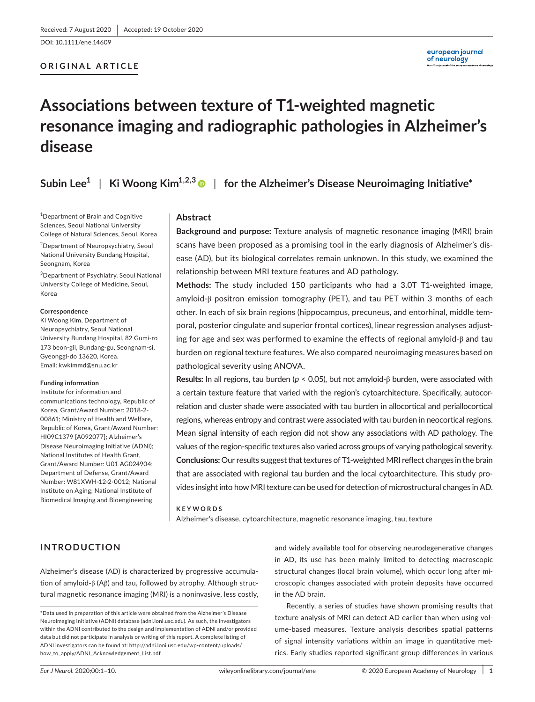DOI: 10.1111/ene.14609

# **ORIGINAL ARTICLE**

# **Associations between texture of T1-weighted magnetic resonance imaging and radiographic pathologies in Alzheimer's disease**

# **Subin Lee<sup>1</sup>** | **Ki Woong Kim1,2,[3](https://orcid.org/0000-0002-1103-3858)** | **for the Alzheimer's Disease Neuroimaging Initiative\***

<sup>1</sup>Department of Brain and Cognitive Sciences, Seoul National University College of Natural Sciences, Seoul, Korea

2 Department of Neuropsychiatry, Seoul National University Bundang Hospital, Seongnam, Korea

3 Department of Psychiatry, Seoul National University College of Medicine, Seoul, Korea

#### **Correspondence**

Ki Woong Kim, Department of Neuropsychiatry, Seoul National University Bundang Hospital, 82 Gumi-ro 173 beon-gil, Bundang-gu, Seongnam-si, Gyeonggi-do 13620, Korea. Email: [kwkimmd@snu.ac.kr](mailto:kwkimmd@snu.ac.kr)

#### **Funding information**

Institute for information and communications technology, Republic of Korea, Grant/Award Number: 2018-2- 00861; Ministry of Health and Welfare, Republic of Korea, Grant/Award Number: HI09C1379 [A092077]; Alzheimer's Disease Neuroimaging Initiative (ADNI); National Institutes of Health Grant, Grant/Award Number: U01 AG024904; Department of Defense, Grant/Award Number: W81XWH-12-2-0012; National Institute on Aging; National Institute of Biomedical Imaging and Bioengineering

# **Abstract**

**Background and purpose:** Texture analysis of magnetic resonance imaging (MRI) brain scans have been proposed as a promising tool in the early diagnosis of Alzheimer's disease (AD), but its biological correlates remain unknown. In this study, we examined the relationship between MRI texture features and AD pathology.

**Methods:** The study included 150 participants who had a 3.0T T1-weighted image, amyloid-β positron emission tomography (PET), and tau PET within 3 months of each other. In each of six brain regions (hippocampus, precuneus, and entorhinal, middle temporal, posterior cingulate and superior frontal cortices), linear regression analyses adjusting for age and sex was performed to examine the effects of regional amyloid- $\beta$  and tau burden on regional texture features. We also compared neuroimaging measures based on pathological severity using ANOVA.

**Results:** In all regions, tau burden (*p* < 0.05), but not amyloid-β burden, were associated with a certain texture feature that varied with the region's cytoarchitecture. Specifically, autocorrelation and cluster shade were associated with tau burden in allocortical and periallocortical regions, whereas entropy and contrast were associated with tau burden in neocortical regions. Mean signal intensity of each region did not show any associations with AD pathology. The values of the region-specific textures also varied across groups of varying pathological severity. **Conclusions:** Our results suggest that textures of T1-weighted MRI reflect changes in the brain that are associated with regional tau burden and the local cytoarchitecture. This study provides insight into how MRI texture can be used for detection of microstructural changes in AD.

#### **KEYWORDS**

Alzheimer's disease, cytoarchitecture, magnetic resonance imaging, tau, texture

# **INTRODUCTION**

Alzheimer's disease (AD) is characterized by progressive accumulation of amyloid-β (Aβ) and tau, followed by atrophy. Although structural magnetic resonance imaging (MRI) is a noninvasive, less costly, and widely available tool for observing neurodegenerative changes in AD, its use has been mainly limited to detecting macroscopic structural changes (local brain volume), which occur long after microscopic changes associated with protein deposits have occurred in the AD brain.

Recently, a series of studies have shown promising results that texture analysis of MRI can detect AD earlier than when using volume-based measures. Texture analysis describes spatial patterns of signal intensity variations within an image in quantitative metrics. Early studies reported significant group differences in various

<sup>\*</sup>Data used in preparation of this article were obtained from the Alzheimer's Disease Neuroimaging Initiative (ADNI) database (adni.loni.usc.edu). As such, the investigators within the ADNI contributed to the design and implementation of ADNI and/or provided data but did not participate in analysis or writing of this report. A complete listing of ADNI investigators can be found at: [http://adni.loni.usc.edu/wp-content/uploads/](http://adni.loni.usc.edu/wp-content/uploads/how_to_apply/ADNI_Acknowledgement_List.pdf) [how\\_to\\_apply/ADNI\\_Acknowledgement\\_List.pdf](http://adni.loni.usc.edu/wp-content/uploads/how_to_apply/ADNI_Acknowledgement_List.pdf)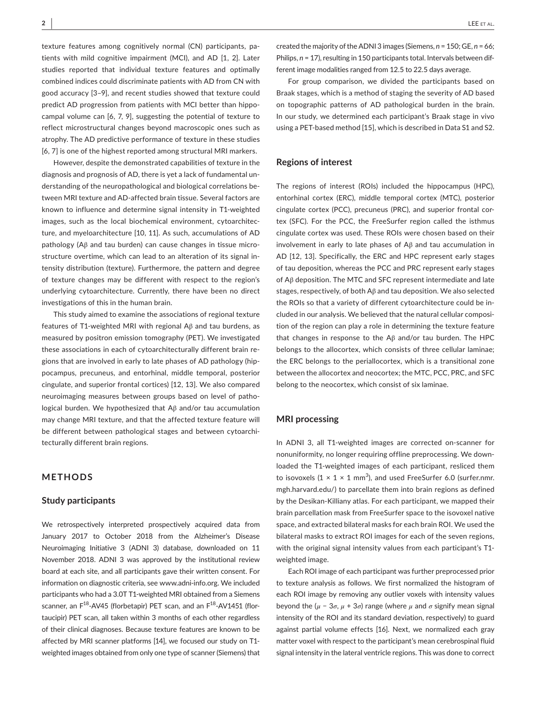texture features among cognitively normal (CN) participants, patients with mild cognitive impairment (MCI), and AD [1, 2]. Later studies reported that individual texture features and optimally combined indices could discriminate patients with AD from CN with good accuracy [3–9], and recent studies showed that texture could predict AD progression from patients with MCI better than hippocampal volume can [6, 7, 9], suggesting the potential of texture to reflect microstructural changes beyond macroscopic ones such as atrophy. The AD predictive performance of texture in these studies [6, 7] is one of the highest reported among structural MRI markers.

However, despite the demonstrated capabilities of texture in the diagnosis and prognosis of AD, there is yet a lack of fundamental understanding of the neuropathological and biological correlations between MRI texture and AD-affected brain tissue. Several factors are known to influence and determine signal intensity in T1-weighted images, such as the local biochemical environment, cytoarchitecture, and myeloarchitecture [10, 11]. As such, accumulations of AD pathology (Aβ and tau burden) can cause changes in tissue microstructure overtime, which can lead to an alteration of its signal intensity distribution (texture). Furthermore, the pattern and degree of texture changes may be different with respect to the region's underlying cytoarchitecture. Currently, there have been no direct investigations of this in the human brain.

This study aimed to examine the associations of regional texture features of T1-weighted MRI with regional Aβ and tau burdens, as measured by positron emission tomography (PET). We investigated these associations in each of cytoarchitecturally different brain regions that are involved in early to late phases of AD pathology (hippocampus, precuneus, and entorhinal, middle temporal, posterior cingulate, and superior frontal cortices) [12, 13]. We also compared neuroimaging measures between groups based on level of pathological burden. We hypothesized that Aβ and/or tau accumulation may change MRI texture, and that the affected texture feature will be different between pathological stages and between cytoarchitecturally different brain regions.

# **METHODS**

#### **Study participants**

We retrospectively interpreted prospectively acquired data from January 2017 to October 2018 from the Alzheimer's Disease Neuroimaging Initiative 3 (ADNI 3) database, downloaded on 11 November 2018. ADNI 3 was approved by the institutional review board at each site, and all participants gave their written consent. For information on diagnostic criteria, see [www.adni-info.org](http://www.adni-info.org). We included participants who had a 3.0T T1-weighted MRI obtained from a Siemens scanner, an  $F^{18}$ -AV45 (florbetapir) PET scan, and an  $F^{18}$ -AV1451 (flortaucipir) PET scan, all taken within 3 months of each other regardless of their clinical diagnoses. Because texture features are known to be affected by MRI scanner platforms [14], we focused our study on T1 weighted images obtained from only one type of scanner (Siemens) that created the majority of the ADNI 3 images (Siemens, *n* = 150; GE, *n* = 66; Philips,  $n = 17$ ), resulting in 150 participants total. Intervals between different image modalities ranged from 12.5 to 22.5 days average.

For group comparison, we divided the participants based on Braak stages, which is a method of staging the severity of AD based on topographic patterns of AD pathological burden in the brain. In our study, we determined each participant's Braak stage in vivo using a PET-based method [15], which is described in Data S1 and S2.

#### **Regions of interest**

The regions of interest (ROIs) included the hippocampus (HPC), entorhinal cortex (ERC), middle temporal cortex (MTC), posterior cingulate cortex (PCC), precuneus (PRC), and superior frontal cortex (SFC). For the PCC, the FreeSurfer region called the isthmus cingulate cortex was used. These ROIs were chosen based on their involvement in early to late phases of Aβ and tau accumulation in AD [12, 13]. Specifically, the ERC and HPC represent early stages of tau deposition, whereas the PCC and PRC represent early stages of Aβ deposition. The MTC and SFC represent intermediate and late stages, respectively, of both Aβ and tau deposition. We also selected the ROIs so that a variety of different cytoarchitecture could be included in our analysis. We believed that the natural cellular composition of the region can play a role in determining the texture feature that changes in response to the Aβ and/or tau burden. The HPC belongs to the allocortex, which consists of three cellular laminae; the ERC belongs to the periallocortex, which is a transitional zone between the allocortex and neocortex; the MTC, PCC, PRC, and SFC belong to the neocortex, which consist of six laminae.

## **MRI processing**

In ADNI 3, all T1-weighted images are corrected on-scanner for nonuniformity, no longer requiring offline preprocessing. We downloaded the T1-weighted images of each participant, resliced them to isovoxels ( $1 \times 1 \times 1$  mm<sup>3</sup>), and used FreeSurfer 6.0 (surfer.nmr. mgh.harvard.edu/) to parcellate them into brain regions as defined by the Desikan-Killiany atlas. For each participant, we mapped their brain parcellation mask from FreeSurfer space to the isovoxel native space, and extracted bilateral masks for each brain ROI. We used the bilateral masks to extract ROI images for each of the seven regions, with the original signal intensity values from each participant's T1 weighted image.

Each ROI image of each participant was further preprocessed prior to texture analysis as follows. We first normalized the histogram of each ROI image by removing any outlier voxels with intensity values beyond the (*μ* − 3*σ*, *μ* + 3*σ*) range (where *μ* and *σ* signify mean signal intensity of the ROI and its standard deviation, respectively) to guard against partial volume effects [16]. Next, we normalized each gray matter voxel with respect to the participant's mean cerebrospinal fluid signal intensity in the lateral ventricle regions. This was done to correct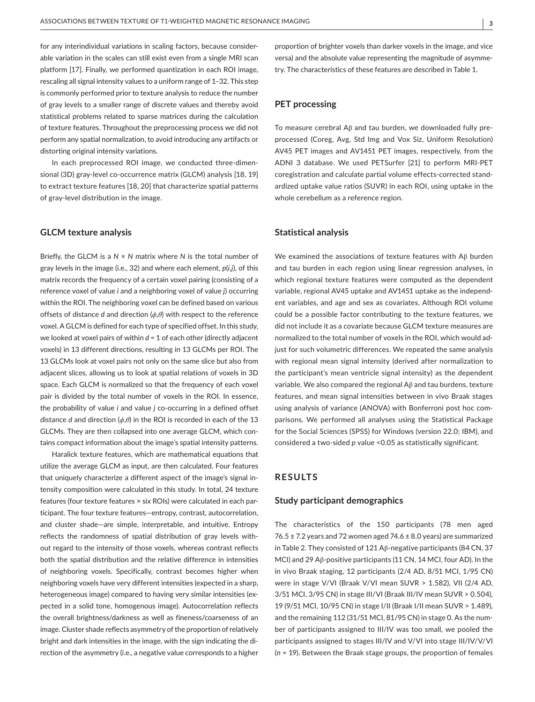for any interindividual variations in scaling factors, because considerable variation in the scales can still exist even from a single MRI scan platform [17]. Finally, we performed quantization in each ROI image, rescaling all signal intensity values to a uniform range of 1–32. This step is commonly performed prior to texture analysis to reduce the number of gray levels to a smaller range of discrete values and thereby avoid statistical problems related to sparse matrices during the calculation of texture features. Throughout the preprocessing process we did not perform any spatial normalization, to avoid introducing any artifacts or distorting original intensity variations.

In each preprocessed ROI image, we conducted three-dimensional (3D) gray-level co-occurrence matrix (GLCM) analysis [18, 19] to extract texture features [18, 20] that characterize spatial patterns of gray-level distribution in the image.

#### **GLCM texture analysis**

Briefly, the GLCM is a *N* × *N* matrix where *N* is the total number of gray levels in the image (i.e., 32) and where each element, *p*(*i*,*j*), of this matrix records the frequency of a certain voxel pairing (consisting of a reference voxel of value *i* and a neighboring voxel of value *j*) occurring within the ROI. The neighboring voxel can be defined based on various offsets of distance *d* and direction (*ϕ*,*θ*) with respect to the reference voxel. A GLCM is defined for each type of specified offset. In this study, we looked at voxel pairs of within *d =* 1 of each other (directly adjacent voxels) in 13 different directions, resulting in 13 GLCMs per ROI. The 13 GLCMs look at voxel pairs not only on the same slice but also from adjacent slices, allowing us to look at spatial relations of voxels in 3D space. Each GLCM is normalized so that the frequency of each voxel pair is divided by the total number of voxels in the ROI. In essence, the probability of value *i* and value *j* co-occurring in a defined offset distance *d* and direction (*ϕ*,*θ*) in the ROI is recorded in each of the 13 GLCMs. They are then collapsed into one average GLCM, which contains compact information about the image's spatial intensity patterns.

Haralick texture features, which are mathematical equations that utilize the average GLCM as input, are then calculated. Four features that uniquely characterize a different aspect of the image's signal intensity composition were calculated in this study. In total, 24 texture features (four texture features × six ROIs) were calculated in each participant. The four texture features—entropy, contrast, autocorrelation, and cluster shade—are simple, interpretable, and intuitive. Entropy reflects the randomness of spatial distribution of gray levels without regard to the intensity of those voxels, whereas contrast reflects both the spatial distribution and the relative difference in intensities of neighboring voxels. Specifically, contrast becomes higher when neighboring voxels have very different intensities (expected in a sharp, heterogeneous image) compared to having very similar intensities (expected in a solid tone, homogenous image). Autocorrelation reflects the overall brightness/darkness as well as fineness/coarseness of an image. Cluster shade reflects asymmetry of the proportion of relatively bright and dark intensities in the image, with the sign indicating the direction of the asymmetry (i.e., a negative value corresponds to a higher

proportion of brighter voxels than darker voxels in the image, and vice versa) and the absolute value representing the magnitude of asymmetry. The characteristics of these features are described in Table 1.

# **PET processing**

To measure cerebral Aβ and tau burden, we downloaded fully preprocessed (Coreg, Avg, Std Img and Vox Siz, Uniform Resolution) AV45 PET images and AV1451 PET images, respectively, from the ADNI 3 database. We used PETSurfer [21] to perform MRI-PET coregistration and calculate partial volume effects-corrected standardized uptake value ratios (SUVR) in each ROI, using uptake in the whole cerebellum as a reference region.

#### **Statistical analysis**

We examined the associations of texture features with Aβ burden and tau burden in each region using linear regression analyses, in which regional texture features were computed as the dependent variable, regional AV45 uptake and AV1451 uptake as the independent variables, and age and sex as covariates. Although ROI volume could be a possible factor contributing to the texture features, we did not include it as a covariate because GLCM texture measures are normalized to the total number of voxels in the ROI, which would adjust for such volumetric differences. We repeated the same analysis with regional mean signal intensity (derived after normalization to the participant's mean ventricle signal intensity) as the dependent variable. We also compared the regional Aβ and tau burdens, texture features, and mean signal intensities between in vivo Braak stages using analysis of variance (ANOVA) with Bonferroni post hoc comparisons. We performed all analyses using the Statistical Package for the Social Sciences (SPSS) for Windows (version 22.0; IBM), and considered a two-sided *p* value <0.05 as statistically significant.

# **RESULTS**

#### **Study participant demographics**

The characteristics of the 150 participants (78 men aged  $76.5 \pm 7.2$  years and 72 women aged 74.6  $\pm$  8.0 years) are summarized in Table 2. They consisted of 121 Aβ-negative participants (84 CN, 37 MCI) and 29 Aβ-positive participants (11 CN, 14 MCI, four AD). In the in vivo Braak staging, 12 participants (2/4 AD, 8/51 MCI, 1/95 CN) were in stage V/VI (Braak V/VI mean SUVR > 1.582), VII (2/4 AD, 3/51 MCI, 3/95 CN) in stage III/VI (Braak III/IV mean SUVR > 0.504), 19 (9/51 MCI, 10/95 CN) in stage I/II (Braak I/II mean SUVR > 1.489), and the remaining 112 (31/51 MCI, 81/95 CN) in stage 0. As the number of participants assigned to III/IV was too small, we pooled the participants assigned to stages III/IV and V/VI into stage III/IV/V/VI (*n* = 19). Between the Braak stage groups, the proportion of females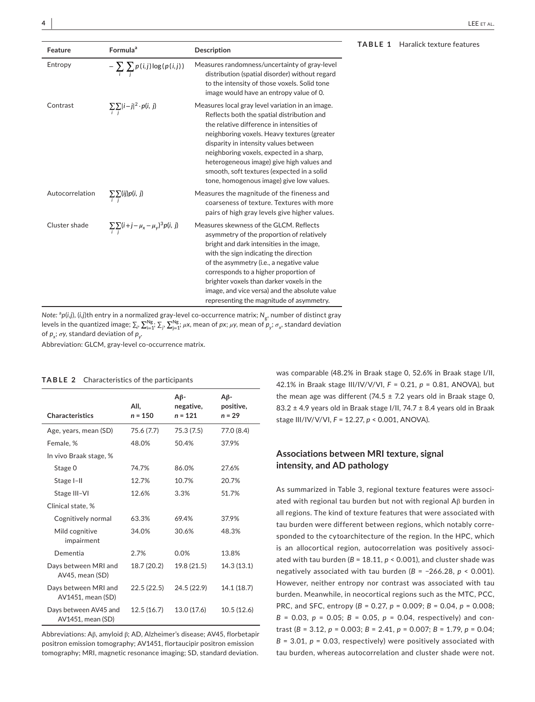| Feature         | Formula <sup>a</sup>                                      | <b>Description</b>                                                                                                                                                                                                                                                                                                                                                                                                     | TABLE 1 | Haralick texture features |
|-----------------|-----------------------------------------------------------|------------------------------------------------------------------------------------------------------------------------------------------------------------------------------------------------------------------------------------------------------------------------------------------------------------------------------------------------------------------------------------------------------------------------|---------|---------------------------|
| Entropy         | $-\sum_i \sum_i p(i,j) \log(p(i,j))$                      | Measures randomness/uncertainty of gray-level<br>distribution (spatial disorder) without regard<br>to the intensity of those voxels. Solid tone<br>image would have an entropy value of 0.                                                                                                                                                                                                                             |         |                           |
| Contrast        | $\sum_i \sum_j  i-j ^2 \cdot p(i, j)$                     | Measures local gray level variation in an image.<br>Reflects both the spatial distribution and<br>the relative difference in intensities of<br>neighboring voxels. Heavy textures (greater<br>disparity in intensity values between<br>neighboring voxels, expected in a sharp,<br>heterogeneous image) give high values and<br>smooth, soft textures (expected in a solid<br>tone, homogenous image) give low values. |         |                           |
| Autocorrelation | $\sum_i \sum_i (ij)p(i, j)$                               | Measures the magnitude of the fineness and<br>coarseness of texture. Textures with more<br>pairs of high gray levels give higher values.                                                                                                                                                                                                                                                                               |         |                           |
| Cluster shade   | $\sum_{i} \sum_{j} (i+j - \mu_{x} - \mu_{y})^{3} p(i, j)$ | Measures skewness of the GLCM. Reflects<br>asymmetry of the proportion of relatively<br>bright and dark intensities in the image,<br>with the sign indicating the direction<br>of the asymmetry (i.e., a negative value<br>corresponds to a higher proportion of<br>brighter voxels than darker voxels in the<br>image, and vice versa) and the absolute value<br>representing the magnitude of asymmetry.             |         |                           |

*Note:* <sup>a</sup> *p*(*i*,*j*), (*i,j*)th entry in a normalized gray-level co-occurrence matrix; *N*g, number of distinct gray levels in the quantized image;  $\Sigma_i$ ,  $\sum_{i=1}^{Ng}$ ;  $\sum_{j=1}^{Ng}$ ; *μ*x, mean of *px*; *μ*y, mean of  $p_y$ ;  $\sigma_x$ , standard deviation of  $p_{\chi}$ ; *σ*y, standard deviation of  $p_{\gamma}$ .

Abbreviation: GLCM, gray-level co-occurrence matrix.

#### **TABLE 2** Characteristics of the participants

| <b>Characteristics</b>                     | AII,<br>$n = 150$ | $A\beta$ -<br>negative,<br>$n = 121$ | $A\beta$ -<br>positive,<br>$n = 29$ |
|--------------------------------------------|-------------------|--------------------------------------|-------------------------------------|
| Age, years, mean (SD)                      | 75.6 (7.7)        | 75.3 (7.5)                           | 77.0 (8.4)                          |
| Female, %                                  | 48.0%             | 50.4%                                | 37.9%                               |
| In vivo Braak stage, %                     |                   |                                      |                                     |
| Stage 0                                    | 74.7%             | 86.0%                                | 27.6%                               |
| Stage I-II                                 | 12.7%             | 10.7%                                | 20.7%                               |
| Stage III-VI                               | 12.6%             | 3.3%                                 | 51.7%                               |
| Clinical state, %                          |                   |                                      |                                     |
| Cognitively normal                         | 63.3%             | 69.4%                                | 37.9%                               |
| Mild cognitive<br>impairment               | 34.0%             | 30.6%                                | 48.3%                               |
| Dementia                                   | 2.7%              | 0.0%                                 | 13.8%                               |
| Days between MRI and<br>AV45, mean (SD)    | 18.7 (20.2)       | 19.8 (21.5)                          | 14.3 (13.1)                         |
| Days between MRI and<br>AV1451, mean (SD)  | 22.5 (22.5)       | 24.5 (22.9)                          | 14.1 (18.7)                         |
| Days between AV45 and<br>AV1451, mean (SD) | 12.5(16.7)        | 13.0 (17.6)                          | 10.5 (12.6)                         |

Abbreviations: Aβ, amyloid β; AD, Alzheimer's disease; AV45, florbetapir positron emission tomography; AV1451, flortaucipir positron emission tomography; MRI, magnetic resonance imaging; SD, standard deviation.

was comparable (48.2% in Braak stage 0, 52.6% in Braak stage I/II, 42.1% in Braak stage III/IV/V/VI, *F* = 0.21, *p* = 0.81, ANOVA), but the mean age was different (74.5  $\pm$  7.2 years old in Braak stage 0, 83.2 ± 4.9 years old in Braak stage I/II, 74.7 ± 8.4 years old in Braak stage III/IV/V/VI, *F* = 12.27, *p* < 0.001, ANOVA).

# **Associations between MRI texture, signal intensity, and AD pathology**

As summarized in Table 3, regional texture features were associated with regional tau burden but not with regional Aβ burden in all regions. The kind of texture features that were associated with tau burden were different between regions, which notably corresponded to the cytoarchitecture of the region. In the HPC, which is an allocortical region, autocorrelation was positively associated with tau burden ( $B = 18.11$ ,  $p < 0.001$ ), and cluster shade was negatively associated with tau burden (*B* = −266.28, *p* < 0.001). However, neither entropy nor contrast was associated with tau burden. Meanwhile, in neocortical regions such as the MTC, PCC, PRC, and SFC, entropy (*B* = 0.27, *p* = 0.009; *B* = 0.04, *p* = 0.008; *B* = 0.03, *p* = 0.05; *B* = 0.05, *p* = 0.04, respectively) and contrast (*B* = 3.12, *p* = 0.003; *B* = 2.41, *p* = 0.007; *B* = 1.79, *p* = 0.04;  $B = 3.01$ ,  $p = 0.03$ , respectively) were positively associated with tau burden, whereas autocorrelation and cluster shade were not.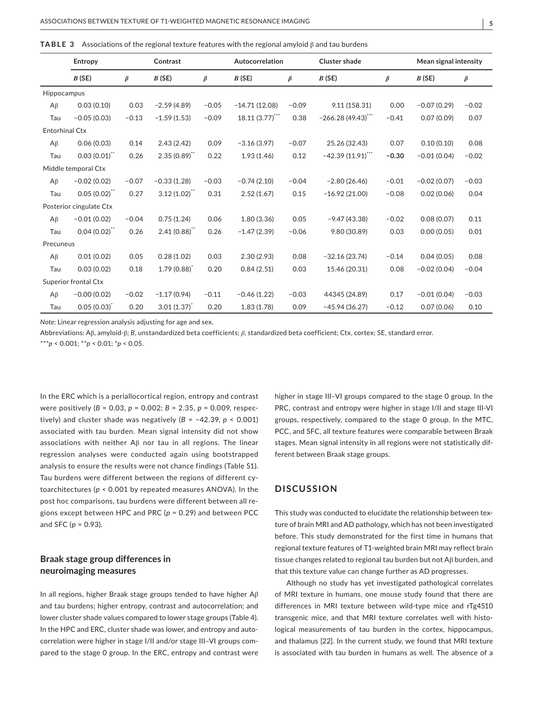| <b>TABLE 3</b> Associations of the regional texture features with the regional amyloid $\beta$ and tau burdens |  |
|----------------------------------------------------------------------------------------------------------------|--|
|----------------------------------------------------------------------------------------------------------------|--|

|                       | Contrast<br>Entropy         |         |                   | Autocorrelation |                 | <b>Cluster shade</b> |                      |         | Mean signal intensity |         |
|-----------------------|-----------------------------|---------|-------------------|-----------------|-----------------|----------------------|----------------------|---------|-----------------------|---------|
|                       | B(SE)                       | $\beta$ | B(SE)             | $\beta$         | B(SE)           | $\beta$              | B(SE)                | $\beta$ | B(SE)                 | $\beta$ |
| Hippocampus           |                             |         |                   |                 |                 |                      |                      |         |                       |         |
| $A\beta$              | 0.03(0.10)                  | 0.03    | $-2.59(4.89)$     | $-0.05$         | $-14.71(12.08)$ | $-0.09$              | 9.11 (158.31)        | 0.00    | $-0.07(0.29)$         | $-0.02$ |
| Tau                   | $-0.05(0.03)$               | $-0.13$ | $-1.59(1.53)$     | $-0.09$         | 18.11(3.77)     | 0.38                 | $-266.28(49.43)$ *** | $-0.41$ | 0.07(0.09)            | 0.07    |
| <b>Entorhinal Ctx</b> |                             |         |                   |                 |                 |                      |                      |         |                       |         |
| $A\beta$              | 0.06(0.03)                  | 0.14    | 2.43(2.42)        | 0.09            | $-3.16(3.97)$   | $-0.07$              | 25.26 (32.43)        | 0.07    | 0.10(0.10)            | 0.08    |
| Tau                   | $0.03(0.01)$ "              | 0.26    | $2.35(0.89)$ **   | 0.22            | 1.93(1.46)      | 0.12                 | $-42.39(11.91)$      | $-0.30$ | $-0.01(0.04)$         | $-0.02$ |
|                       | Middle temporal Ctx         |         |                   |                 |                 |                      |                      |         |                       |         |
| $A\beta$              | $-0.02(0.02)$               | $-0.07$ | $-0.33(1.28)$     | $-0.03$         | $-0.74(2.10)$   | $-0.04$              | $-2.80(26.46)$       | $-0.01$ | $-0.02(0.07)$         | $-0.03$ |
| Tau                   | $0.05(0.02)$ "              | 0.27    | $3.12(1.02)^{11}$ | 0.31            | 2.52(1.67)      | 0.15                 | $-16.92(21.00)$      | $-0.08$ | 0.02(0.06)            | 0.04    |
|                       | Posterior cingulate Ctx     |         |                   |                 |                 |                      |                      |         |                       |         |
| $A\beta$              | $-0.01(0.02)$               | $-0.04$ | 0.75(1.24)        | 0.06            | 1.80(3.36)      | 0.05                 | $-9.47(43.38)$       | $-0.02$ | 0.08(0.07)            | 0.11    |
| Tau                   | $0.04(0.02)^{**}$           | 0.26    | 2.41(0.88)        | 0.26            | $-1.47(2.39)$   | $-0.06$              | 9.80 (30.89)         | 0.03    | 0.00(0.05)            | 0.01    |
| Precuneus             |                             |         |                   |                 |                 |                      |                      |         |                       |         |
| $A\beta$              | 0.01(0.02)                  | 0.05    | 0.28(1.02)        | 0.03            | 2.30(2.93)      | 0.08                 | $-32.16(23.74)$      | $-0.14$ | 0.04(0.05)            | 0.08    |
| Tau                   | 0.03(0.02)                  | 0.18    | 1.79(0.88)        | 0.20            | 0.84(2.51)      | 0.03                 | 15.46 (20.31)        | 0.08    | $-0.02(0.04)$         | $-0.04$ |
|                       | <b>Superior frontal Ctx</b> |         |                   |                 |                 |                      |                      |         |                       |         |
| $A\beta$              | $-0.00(0.02)$               | $-0.02$ | $-1.17(0.94)$     | $-0.11$         | $-0.46(1.22)$   | $-0.03$              | 44345 (24.89)        | 0.17    | $-0.01(0.04)$         | $-0.03$ |
| Tau                   | 0.05(0.03)                  | 0.20    | 3.01(1.37)        | 0.20            | 1.83(1.78)      | 0.09                 | $-45.94(36.27)$      | $-0.12$ | 0.07(0.06)            | 0.10    |

*Note:* Linear regression analysis adjusting for age and sex.

Abbreviations: Aβ, amyloid-β; *B*, unstandardized beta coefficients; *β*, standardized beta coefficient; Ctx, cortex; SE, standard error.

\*\*\**p* < 0.001; \*\**p* < 0.01; \**p* < 0.05.

In the ERC which is a periallocortical region, entropy and contrast were positively (*B* = 0.03, *p* = 0.002; *B* = 2.35, *p* = 0.009, respectively) and cluster shade was negatively (*B* = −42.39, *p* < 0.001) associated with tau burden. Mean signal intensity did not show associations with neither Aβ nor tau in all regions. The linear regression analyses were conducted again using bootstrapped analysis to ensure the results were not chance findings (Table S1). Tau burdens were different between the regions of different cytoarchitectures (*p* < 0.001 by repeated measures ANOVA). In the post hoc comparisons, tau burdens were different between all regions except between HPC and PRC (*p* = 0.29) and between PCC and SFC (*p* = 0.93).

# **Braak stage group differences in neuroimaging measures**

In all regions, higher Braak stage groups tended to have higher Aβ and tau burdens; higher entropy, contrast and autocorrelation; and lower cluster shade values compared to lower stage groups (Table 4). In the HPC and ERC, cluster shade was lower, and entropy and autocorrelation were higher in stage I/II and/or stage III–VI groups compared to the stage 0 group. In the ERC, entropy and contrast were

higher in stage III–VI groups compared to the stage 0 group. In the PRC, contrast and entropy were higher in stage I/II and stage III-VI groups, respectively, compared to the stage 0 group. In the MTC, PCC, and SFC, all texture features were comparable between Braak stages. Mean signal intensity in all regions were not statistically different between Braak stage groups.

# **DISCUSSION**

This study was conducted to elucidate the relationship between texture of brain MRI and AD pathology, which has not been investigated before. This study demonstrated for the first time in humans that regional texture features of T1-weighted brain MRI may reflect brain tissue changes related to regional tau burden but not Aβ burden, and that this texture value can change further as AD progresses.

Although no study has yet investigated pathological correlates of MRI texture in humans, one mouse study found that there are differences in MRI texture between wild-type mice and rTg4510 transgenic mice, and that MRI texture correlates well with histological measurements of tau burden in the cortex, hippocampus, and thalamus [22]. In the current study, we found that MRI texture is associated with tau burden in humans as well. The absence of a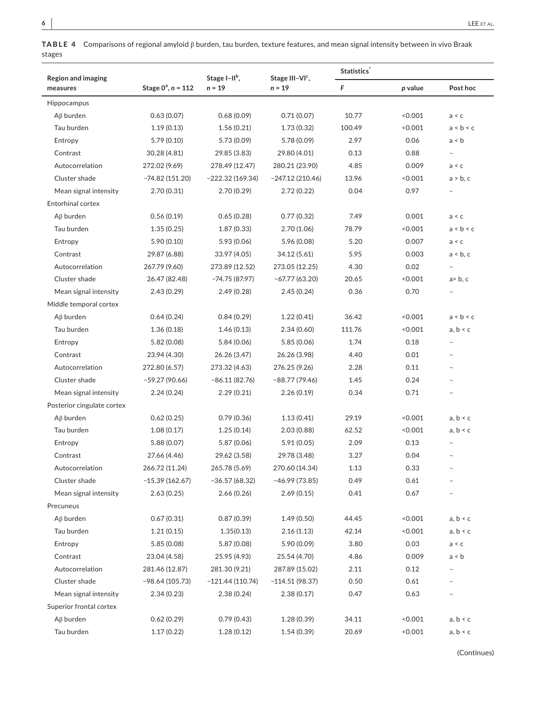**TABLE 4** Comparisons of regional amyloid β burden, tau burden, texture features, and mean signal intensity between in vivo Braak stages

| <b>Region and imaging</b>  |                         | Stage I-II <sup>b</sup> , | Stage III-VI <sup>c</sup> , | <b>Statistics</b> |         |                |  |
|----------------------------|-------------------------|---------------------------|-----------------------------|-------------------|---------|----------------|--|
| measures                   | Stage $0^a$ , $n = 112$ | $n = 19$                  | $n = 19$                    | F                 | p value | Post hoc       |  |
| Hippocampus                |                         |                           |                             |                   |         |                |  |
| $A\beta$ burden            | 0.63(0.07)              | 0.68(0.09)                | 0.71(0.07)                  | 10.77             | 0.001   | a < c          |  |
| Tau burden                 | 1.19(0.13)              | 1.56(0.21)                | 1.73(0.32)                  | 100.49            | 0.001   | a < b < c      |  |
| Entropy                    | 5.79(0.10)              | 5.73 (0.09)               | 5.78 (0.09)                 | 2.97              | 0.06    | a < b          |  |
| Contrast                   | 30.28 (4.81)            | 29.85 (3.83)              | 29.80 (4.01)                | 0.13              | 0.88    |                |  |
| Autocorrelation            | 272.02 (9.69)           | 278.49 (12.47)            | 280.21 (23.90)              | 4.85              | 0.009   | a < c          |  |
| Cluster shade              | $-74.82(151.20)$        | $-222.32(169.34)$         | $-247.12(210.46)$           | 13.96             | < 0.001 | a > b, c       |  |
| Mean signal intensity      | 2.70 (0.31)             | 2.70 (0.29)               | 2.72(0.22)                  | 0.04              | 0.97    |                |  |
| Entorhinal cortex          |                         |                           |                             |                   |         |                |  |
| $A\beta$ burden            | 0.56(0.19)              | 0.65(0.28)                | 0.77(0.32)                  | 7.49              | 0.001   | a < c          |  |
| Tau burden                 | 1.35(0.25)              | 1.87(0.33)                | 2.70(1.06)                  | 78.79             | 0.001   | a < b < c      |  |
| Entropy                    | 5.90(0.10)              | 5.93 (0.06)               | 5.96 (0.08)                 | 5.20              | 0.007   | a < c          |  |
| Contrast                   | 29.87 (6.88)            | 33.97 (4.05)              | 34.12 (5.61)                | 5.95              | 0.003   | a < b, c       |  |
| Autocorrelation            | 267.79 (9.60)           | 273.89 (12.52)            | 273.05 (12.25)              | 4.30              | 0.02    |                |  |
| Cluster shade              | 26.47 (82.48)           | $-74.75(87.97)$           | $-67.77(63.20)$             | 20.65             | 0.001   | $a$ > b, c     |  |
| Mean signal intensity      | 2.43(0.29)              | 2.49(0.28)                | 2.45(0.24)                  | 0.36              | 0.70    |                |  |
| Middle temporal cortex     |                         |                           |                             |                   |         |                |  |
| $A\beta$ burden            | 0.64(0.24)              | 0.84(0.29)                | 1.22(0.41)                  | 36.42             | < 0.001 | a < b < c      |  |
| Tau burden                 | 1.36(0.18)              | 1.46(0.13)                | 2.34(0.60)                  | 111.76            | < 0.001 | a, b < c       |  |
| Entropy                    | 5.82 (0.08)             | 5.84 (0.06)               | 5.85 (0.06)                 | 1.74              | 0.18    |                |  |
| Contrast                   | 23.94 (4.30)            | 26.26 (3.47)              | 26.26 (3.98)                | 4.40              | 0.01    | $\overline{a}$ |  |
| Autocorrelation            | 272.80 (6.57)           | 273.32 (4.63)             | 276.25 (9.26)               | 2.28              | 0.11    |                |  |
| Cluster shade              | $-59.27(90.66)$         | $-86.11(82.76)$           | $-88.77(79.46)$             | 1.45              | 0.24    |                |  |
| Mean signal intensity      | 2.24(0.24)              | 2.29(0.21)                | 2.26(0.19)                  | 0.34              | 0.71    | ÷              |  |
| Posterior cingulate cortex |                         |                           |                             |                   |         |                |  |
| $A\beta$ burden            | 0.62(0.25)              | 0.79(0.36)                | 1.13(0.41)                  | 29.19             | < 0.001 | a, b < c       |  |
| Tau burden                 | 1.08(0.17)              | 1.25(0.14)                | 2.03(0.88)                  | 62.52             | < 0.001 | a, b < c       |  |
| Entropy                    | 5.88 (0.07)             | 5.87 (0.06)               | 5.91 (0.05)                 | 2.09              | 0.13    |                |  |
| Contrast                   | 27.66 (4.46)            | 29.62 (3.58)              | 29.78 (3.48)                | 3.27              | 0.04    |                |  |
| Autocorrelation            | 266.72 (11.24)          | 265.78 (5.69)             | 270.60 (14.34)              | 1.13              | 0.33    |                |  |
| Cluster shade              | $-15.39(162.67)$        | $-36.57(68.32)$           | $-46.99(73.85)$             | 0.49              | 0.61    |                |  |
| Mean signal intensity      | 2.63(0.25)              | 2.66(0.26)                | 2.69(0.15)                  | 0.41              | 0.67    |                |  |
| Precuneus                  |                         |                           |                             |                   |         |                |  |
| $A\beta$ burden            | 0.67(0.31)              | 0.87(0.39)                | 1.49(0.50)                  | 44.45             | 0.001   | a, b < c       |  |
| Tau burden                 | 1.21(0.15)              | 1.35(0.13)                | 2.16(1.13)                  | 42.14             | 0.001   | a, b < c       |  |
| Entropy                    | 5.85(0.08)              | 5.87 (0.08)               | 5.90 (0.09)                 | 3.80              | 0.03    | a < c          |  |
| Contrast                   | 23.04 (4.58)            | 25.95 (4.93)              | 25.54 (4.70)                | 4.86              | 0.009   | a < b          |  |
| Autocorrelation            | 281.46 (12.87)          | 281.30 (9.21)             | 287.89 (15.02)              | 2.11              | 0.12    |                |  |
| Cluster shade              | $-98.64(105.73)$        | $-121.44(110.74)$         | $-114.51(98.37)$            | 0.50              | 0.61    |                |  |
| Mean signal intensity      | 2.34(0.23)              | 2.38(0.24)                | 2.38(0.17)                  | 0.47              | 0.63    |                |  |
| Superior frontal cortex    |                         |                           |                             |                   |         |                |  |
| $A\beta$ burden            | 0.62(0.29)              | 0.79(0.43)                | 1.28(0.39)                  | 34.11             | 0.001   | a, b < c       |  |
| Tau burden                 | 1.17(0.22)              | 1.28(0.12)                | 1.54(0.39)                  | 20.69             | 0.001   | a, b < c       |  |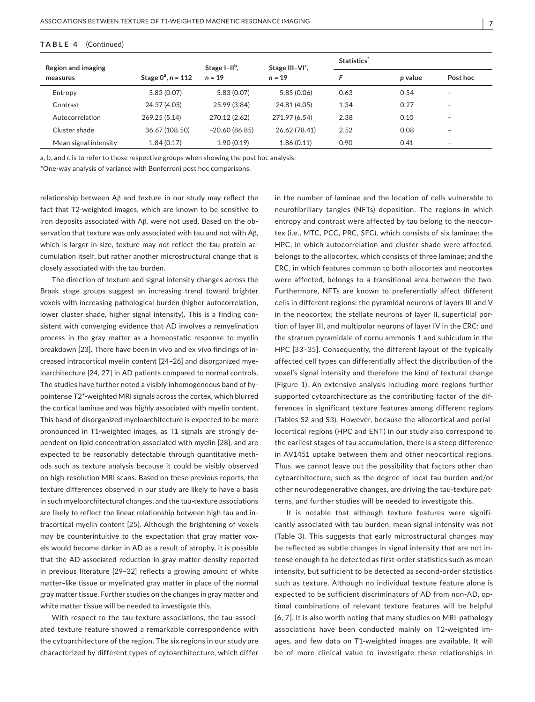#### **TABLE 4**  (Continued)

| Region and imaging    |                                     | Stage $I-IIb$ , | Stage III-VI <sup>c</sup> , | Statistics |         |                          |  |
|-----------------------|-------------------------------------|-----------------|-----------------------------|------------|---------|--------------------------|--|
| measures              | Stage $0^a$ , $n = 112$<br>$n = 19$ |                 | $n = 19$                    |            | p value | Post hoc                 |  |
| Entropy               | 5.83(0.07)                          | 5.83(0.07)      | 5.85(0.06)                  | 0.63       | 0.54    | $\overline{\phantom{a}}$ |  |
| Contrast              | 24.37 (4.05)                        | 25.99 (3.84)    | 24.81 (4.05)                | 1.34       | 0.27    | $\overline{\phantom{a}}$ |  |
| Autocorrelation       | 269.25 (5.14)                       | 270.12 (2.62)   | 271.97 (6.54)               | 2.38       | 0.10    | $\overline{\phantom{a}}$ |  |
| Cluster shade         | 36.67 (108.50)                      | $-20.60(86.85)$ | 26.62 (78.41)               | 2.52       | 0.08    | $\overline{\phantom{a}}$ |  |
| Mean signal intensity | 1.84(0.17)                          | 1.90(0.19)      | 1.86(0.11)                  | 0.90       | 0.41    | $\overline{\phantom{a}}$ |  |

a, b, and c is to refer to those respective groups when showing the post hoc analysis.

\*One-way analysis of variance with Bonferroni post hoc comparisons.

relationship between Aβ and texture in our study may reflect the fact that T2-weighted images, which are known to be sensitive to iron deposits associated with Aβ, were not used. Based on the observation that texture was only associated with tau and not with Aβ, which is larger in size, texture may not reflect the tau protein accumulation itself, but rather another microstructural change that is closely associated with the tau burden.

The direction of texture and signal intensity changes across the Braak stage groups suggest an increasing trend toward brighter voxels with increasing pathological burden (higher autocorrelation, lower cluster shade, higher signal intensity). This is a finding consistent with converging evidence that AD involves a remyelination process in the gray matter as a homeostatic response to myelin breakdown [23]. There have been in vivo and ex vivo findings of increased intracortical myelin content [24–26] and disorganized myeloarchitecture [24, 27] in AD patients compared to normal controls. The studies have further noted a visibly inhomogeneous band of hypointense T2\*-weighted MRI signals across the cortex, which blurred the cortical laminae and was highly associated with myelin content. This band of disorganized myeloarchitecture is expected to be more pronounced in T1-weighted images, as T1 signals are strongly dependent on lipid concentration associated with myelin [28], and are expected to be reasonably detectable through quantitative methods such as texture analysis because it could be visibly observed on high-resolution MRI scans. Based on these previous reports, the texture differences observed in our study are likely to have a basis in such myeloarchitectural changes, and the tau-texture associations are likely to reflect the linear relationship between high tau and intracortical myelin content [25]. Although the brightening of voxels may be counterintuitive to the expectation that gray matter voxels would become darker in AD as a result of atrophy, it is possible that the AD-associated reduction in gray matter density reported in previous literature [29–32] reflects a growing amount of white matter–like tissue or myelinated gray matter in place of the normal gray matter tissue. Further studies on the changes in gray matter and white matter tissue will be needed to investigate this.

With respect to the tau-texture associations, the tau-associated texture feature showed a remarkable correspondence with the cytoarchitecture of the region. The six regions in our study are characterized by different types of cytoarchitecture, which differ in the number of laminae and the location of cells vulnerable to neurofibrillary tangles (NFTs) deposition. The regions in which entropy and contrast were affected by tau belong to the neocortex (i.e., MTC, PCC, PRC, SFC), which consists of six laminae; the HPC, in which autocorrelation and cluster shade were affected, belongs to the allocortex, which consists of three laminae; and the ERC, in which features common to both allocortex and neocortex were affected, belongs to a transitional area between the two. Furthermore, NFTs are known to preferentially affect different cells in different regions: the pyramidal neurons of layers III and V in the neocortex; the stellate neurons of layer II, superficial portion of layer III, and multipolar neurons of layer IV in the ERC; and the stratum pyramidale of cornu ammonis 1 and subiculum in the HPC [33–35]. Consequently, the different layout of the typically affected cell types can differentially affect the distribution of the voxel's signal intensity and therefore the kind of textural change (Figure 1). An extensive analysis including more regions further supported cytoarchitecture as the contributing factor of the differences in significant texture features among different regions (Tables S2 and S3). However, because the allocortical and periallocortical regions (HPC and ENT) in our study also correspond to the earliest stages of tau accumulation, there is a steep difference in AV1451 uptake between them and other neocortical regions. Thus, we cannot leave out the possibility that factors other than cytoarchitecture, such as the degree of local tau burden and/or other neurodegenerative changes, are driving the tau-texture patterns, and further studies will be needed to investigate this.

It is notable that although texture features were significantly associated with tau burden, mean signal intensity was not (Table 3). This suggests that early microstructural changes may be reflected as subtle changes in signal intensity that are not intense enough to be detected as first-order statistics such as mean intensity, but sufficient to be detected as second-order statistics such as texture. Although no individual texture feature alone is expected to be sufficient discriminators of AD from non-AD, optimal combinations of relevant texture features will be helpful [6, 7]. It is also worth noting that many studies on MRI-pathology associations have been conducted mainly on T2-weighted images, and few data on T1-weighted images are available. It will be of more clinical value to investigate these relationships in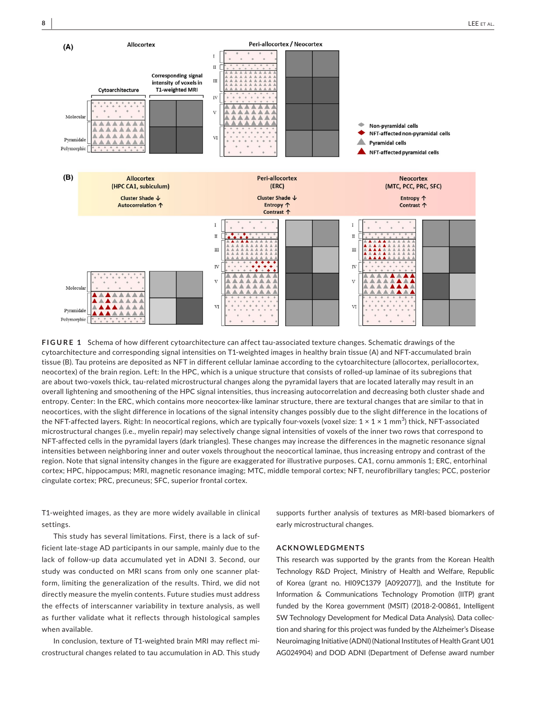

**FIGURE 1** Schema of how different cytoarchitecture can affect tau-associated texture changes. Schematic drawings of the cytoarchitecture and corresponding signal intensities on T1-weighted images in healthy brain tissue (A) and NFT-accumulated brain tissue (B). Tau proteins are deposited as NFT in different cellular laminae according to the cytoarchitecture (allocortex, periallocortex, neocortex) of the brain region. Left: In the HPC, which is a unique structure that consists of rolled-up laminae of its subregions that are about two-voxels thick, tau-related microstructural changes along the pyramidal layers that are located laterally may result in an overall lightening and smoothening of the HPC signal intensities, thus increasing autocorrelation and decreasing both cluster shade and entropy. Center: In the ERC, which contains more neocortex-like laminar structure, there are textural changes that are similar to that in neocortices, with the slight difference in locations of the signal intensity changes possibly due to the slight difference in the locations of the NFT-affected layers. Right: In neocortical regions, which are typically four-voxels (voxel size: 1 × 1 × 1 mm $^3$ ) thick, NFT-associated microstructural changes (i.e., myelin repair) may selectively change signal intensities of voxels of the inner two rows that correspond to NFT-affected cells in the pyramidal layers (dark triangles). These changes may increase the differences in the magnetic resonance signal intensities between neighboring inner and outer voxels throughout the neocortical laminae, thus increasing entropy and contrast of the region. Note that signal intensity changes in the figure are exaggerated for illustrative purposes. CA1, cornu ammonis 1; ERC, entorhinal cortex; HPC, hippocampus; MRI, magnetic resonance imaging; MTC, middle temporal cortex; NFT, neurofibrillary tangles; PCC, posterior cingulate cortex; PRC, precuneus; SFC, superior frontal cortex.

T1-weighted images, as they are more widely available in clinical settings.

supports further analysis of textures as MRI-based biomarkers of early microstructural changes.

This study has several limitations. First, there is a lack of sufficient late-stage AD participants in our sample, mainly due to the lack of follow-up data accumulated yet in ADNI 3. Second, our study was conducted on MRI scans from only one scanner platform, limiting the generalization of the results. Third, we did not directly measure the myelin contents. Future studies must address the effects of interscanner variability in texture analysis, as well as further validate what it reflects through histological samples when available.

In conclusion, texture of T1-weighted brain MRI may reflect microstructural changes related to tau accumulation in AD. This study

# **ACKNOWLEDGMENTS**

This research was supported by the grants from the Korean Health Technology R&D Project, Ministry of Health and Welfare, Republic of Korea (grant no. HI09C1379 [A092077]), and the Institute for Information & Communications Technology Promotion (IITP) grant funded by the Korea government (MSIT) (2018-2-00861, Intelligent SW Technology Development for Medical Data Analysis). Data collection and sharing for this project was funded by the Alzheimer's Disease Neuroimaging Initiative (ADNI) (National Institutes of Health Grant U01 AG024904) and DOD ADNI (Department of Defense award number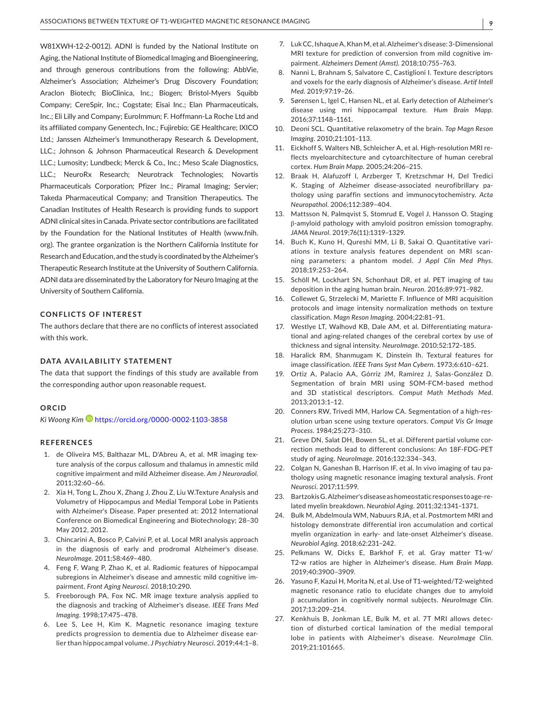W81XWH-12-2-0012). ADNI is funded by the National Institute on Aging, the National Institute of Biomedical Imaging and Bioengineering, and through generous contributions from the following: AbbVie, Alzheimer's Association; Alzheimer's Drug Discovery Foundation; Araclon Biotech; BioClinica, Inc.; Biogen; Bristol-Myers Squibb Company; CereSpir, Inc.; Cogstate; Eisai Inc.; Elan Pharmaceuticals, Inc.; Eli Lilly and Company; EuroImmun; F. Hoffmann-La Roche Ltd and its affiliated company Genentech, Inc.; Fujirebio; GE Healthcare; IXICO Ltd.; Janssen Alzheimer's Immunotherapy Research & Development, LLC.; Johnson & Johnson Pharmaceutical Research & Development LLC.; Lumosity; Lundbeck; Merck & Co., Inc.; Meso Scale Diagnostics, LLC.; NeuroRx Research; Neurotrack Technologies; Novartis Pharmaceuticals Corporation; Pfizer Inc.; Piramal Imaging; Servier; Takeda Pharmaceutical Company; and Transition Therapeutics. The Canadian Institutes of Health Research is providing funds to support ADNI clinical sites in Canada. Private sector contributions are facilitated by the Foundation for the National Institutes of Health ([www.fnih.](http://www.fnih.org) [org](http://www.fnih.org)). The grantee organization is the Northern California Institute for Research and Education, and the study is coordinated by the Alzheimer's Therapeutic Research Institute at the University of Southern California. ADNI data are disseminated by the Laboratory for Neuro Imaging at the University of Southern California.

#### **CONFLICTS OF INTEREST**

The authors declare that there are no conflicts of interest associated with this work.

#### **DATA AVAILABILITY STATEMENT**

The data that support the findings of this study are available from the corresponding author upon reasonable request.

#### **ORCID**

*Ki Woong Kim* <https://orcid.org/0000-0002-1103-3858>

#### **REFERENCES**

- 1. de Oliveira MS, Balthazar ML, D'Abreu A, et al. MR imaging texture analysis of the corpus callosum and thalamus in amnestic mild cognitive impairment and mild Alzheimer disease. *Am J Neuroradiol*. 2011;32:60–66.
- 2. Xia H, Tong L, Zhou X, Zhang J, Zhou Z, Liu W.Texture Analysis and Volumetry of Hippocampus and Medial Temporal Lobe in Patients with Alzheimer's Disease. Paper presented at: 2012 International Conference on Biomedical Engineering and Biotechnology; 28–30 May 2012, 2012.
- 3. Chincarini A, Bosco P, Calvini P, et al. Local MRI analysis approach in the diagnosis of early and prodromal Alzheimer's disease. *NeuroImage*. 2011;58:469–480.
- 4. Feng F, Wang P, Zhao K, et al. Radiomic features of hippocampal subregions in Alzheimer's disease and amnestic mild cognitive impairment. *Front Aging Neurosci*. 2018;10:290.
- 5. Freeborough PA, Fox NC. MR image texture analysis applied to the diagnosis and tracking of Alzheimer's disease. *IEEE Trans Med Imaging*. 1998;17:475–478.
- 6. Lee S, Lee H, Kim K. Magnetic resonance imaging texture predicts progression to dementia due to Alzheimer disease earlier than hippocampal volume. *J Psychiatry Neurosci*. 2019;44:1–8.
- 7. Luk CC, Ishaque A, Khan M, et al. Alzheimer's disease: 3-Dimensional MRI texture for prediction of conversion from mild cognitive impairment. *Alzheimers Dement (Amst)*. 2018;10:755–763.
- 8. Nanni L, Brahnam S, Salvatore C, Castiglioni I. Texture descriptors and voxels for the early diagnosis of Alzheimer's disease. *Artif Intell Med*. 2019;97:19–26.
- 9. Sørensen L, Igel C, Hansen NL, et al. Early detection of Alzheimer's disease using mri hippocampal texture. *Hum Brain Mapp*. 2016;37:1148–1161.
- 10. Deoni SCL. Quantitative relaxometry of the brain. *Top Magn Reson Imaging*. 2010;21:101–113.
- 11. Eickhoff S, Walters NB, Schleicher A, et al. High-resolution MRI reflects myeloarchitecture and cytoarchitecture of human cerebral cortex. *Hum Brain Mapp*. 2005;24:206–215.
- 12. Braak H, Alafuzoff I, Arzberger T, Kretzschmar H, Del Tredici K. Staging of Alzheimer disease-associated neurofibrillary pathology using paraffin sections and immunocytochemistry. *Acta Neuropathol*. 2006;112:389–404.
- 13. Mattsson N, Palmqvist S, Stomrud E, Vogel J, Hansson O. Staging β-amyloid pathology with amyloid positron emission tomography. *JAMA Neurol*. 2019;76(11):1319–1329.
- 14. Buch K, Kuno H, Qureshi MM, Li B, Sakai O. Quantitative variations in texture analysis features dependent on MRI scanning parameters: a phantom model. *J Appl Clin Med Phys*. 2018;19:253–264.
- 15. Schöll M, Lockhart SN, Schonhaut DR, et al. PET imaging of tau deposition in the aging human brain. *Neuron*. 2016;89:971–982.
- 16. Collewet G, Strzelecki M, Mariette F. Influence of MRI acquisition protocols and image intensity normalization methods on texture classification. *Magn Reson Imaging*. 2004;22:81–91.
- 17. Westlye LT, Walhovd KB, Dale AM, et al. Differentiating maturational and aging-related changes of the cerebral cortex by use of thickness and signal intensity. *NeuroImage*. 2010;52:172–185.
- 18. Haralick RM, Shanmugam K, Dinstein Ih. Textural features for image classification. *IEEE Trans Syst Man Cybern*. 1973;6:610–621.
- 19. Ortiz A, Palacio AA, Górriz JM, Ramírez J, Salas-González D. Segmentation of brain MRI using SOM-FCM-based method and 3D statistical descriptors. *Comput Math Methods Med*. 2013;2013:1–12.
- 20. Conners RW, Trivedi MM, Harlow CA. Segmentation of a high-resolution urban scene using texture operators. *Comput Vis Gr Image Process*. 1984;25:273–310.
- 21. Greve DN, Salat DH, Bowen SL, et al. Different partial volume correction methods lead to different conclusions: An 18F-FDG-PET study of aging. *NeuroImage*. 2016;132:334–343.
- 22. Colgan N, Ganeshan B, Harrison IF, et al. In vivo imaging of tau pathology using magnetic resonance imaging textural analysis. *Front Neurosci*. 2017;11:599.
- 23. Bartzokis G. Alzheimer's disease as homeostatic responses to age-related myelin breakdown. *Neurobiol Aging*. 2011;32:1341–1371.
- 24. Bulk M, Abdelmoula WM, Nabuurs RJA, et al. Postmortem MRI and histology demonstrate differential iron accumulation and cortical myelin organization in early- and late-onset Alzheimer's disease. *Neurobiol Aging*. 2018;62:231–242.
- 25. Pelkmans W, Dicks E, Barkhof F, et al. Gray matter T1-w/ T2-w ratios are higher in Alzheimer's disease. *Hum Brain Mapp*. 2019;40:3900–3909.
- 26. Yasuno F, Kazui H, Morita N, et al. Use of T1-weighted/T2-weighted magnetic resonance ratio to elucidate changes due to amyloid β accumulation in cognitively normal subjects. *NeuroImage Clin*. 2017;13:209–214.
- 27. Kenkhuis B, Jonkman LE, Bulk M, et al. 7T MRI allows detection of disturbed cortical lamination of the medial temporal lobe in patients with Alzheimer's disease. *NeuroImage Clin*. 2019;21:101665.